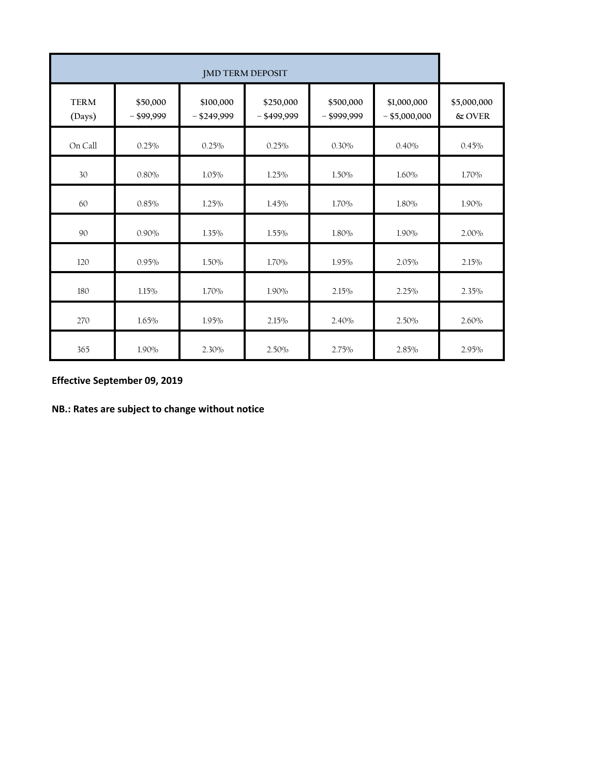| <b>JMD TERM DEPOSIT</b> |                          |                            |                            |                            |                                |                          |
|-------------------------|--------------------------|----------------------------|----------------------------|----------------------------|--------------------------------|--------------------------|
| <b>TERM</b><br>(Days)   | \$50,000<br>$-$ \$99,999 | \$100,000<br>$-$ \$249,999 | \$250,000<br>$-$ \$499,999 | \$500,000<br>$-$ \$999,999 | \$1,000,000<br>$-$ \$5,000,000 | \$5,000,000<br>$\&$ OVER |
| On Call                 | 0.25%                    | 0.25%                      | 0.25%                      | 0.30%                      | 0.40%                          | 0.45%                    |
| 30                      | 0.80%                    | 1.05%                      | 1.25%                      | 1.50%                      | 1.60%                          | 1.70%                    |
| 60                      | 0.85%                    | 1.25%                      | 1.45%                      | 1.70%                      | 1.80%                          | 1.90%                    |
| 90                      | 0.90%                    | 1.35%                      | 1.55%                      | 1.80%                      | 1.90%                          | 2.00%                    |
| 120                     | 0.95%                    | 1.50%                      | 1.70%                      | 1.95%                      | 2.05%                          | 2.15%                    |
| $180\,$                 | 1.15%                    | 1.70%                      | 1.90%                      | 2.15%                      | 2.25%                          | 2.35%                    |
| 270                     | 1.65%                    | 1.95%                      | 2.15%                      | 2.40%                      | 2.50%                          | 2.60%                    |
| 365                     | 1.90%                    | 2.30%                      | 2.50%                      | 2.75%                      | 2.85%                          | 2.95%                    |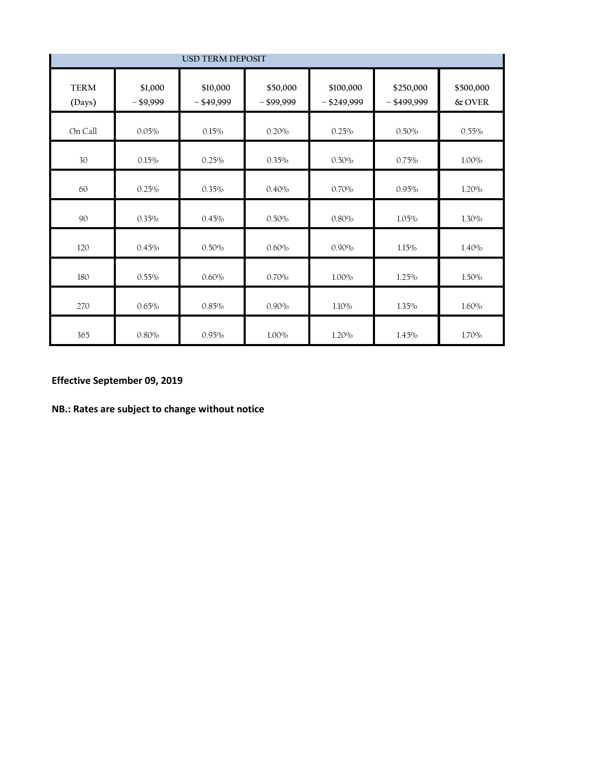| <b>USD TERM DEPOSIT</b> |                        |                          |                          |                            |                            |                     |
|-------------------------|------------------------|--------------------------|--------------------------|----------------------------|----------------------------|---------------------|
| <b>TERM</b><br>(Days)   | \$1,000<br>$-$ \$9,999 | \$10,000<br>$-$ \$49,999 | \$50,000<br>$-$ \$99,999 | \$100,000<br>$-$ \$249,999 | \$250,000<br>$-$ \$499,999 | \$500,000<br>& OVER |
| On Call                 | 0.05%                  | 0.15%                    | 0.20%                    | 0.25%                      | 0.50%                      | 0.55%               |
| 30                      | 0.15%                  | 0.25%                    | 0.35%                    | 0.50%                      | 0.75%                      | 1.00%               |
| 60                      | 0.25%                  | 0.35%                    | 0.40%                    | 0.70%                      | 0.95%                      | 1.20%               |
| 90                      | 0.35%                  | 0.45%                    | $0.50\%$                 | 0.80%                      | 1.05%                      | 1.30%               |
| 120                     | 0.45%                  | 0.50%                    | 0.60%                    | 0.90%                      | 1.15%                      | 1.40%               |
| $180\,$                 | 0.55%                  | 0.60%                    | 0.70%                    | 1.00%                      | 1.25%                      | 1.50%               |
| 270                     | 0.65%                  | 0.85%                    | 0.90%                    | $1.10\%$                   | $1.35\%$                   | 1.60%               |
| 365                     | 0.80%                  | 0.95%                    | 1.00%                    | 1.20%                      | 1.45%                      | 1.70%               |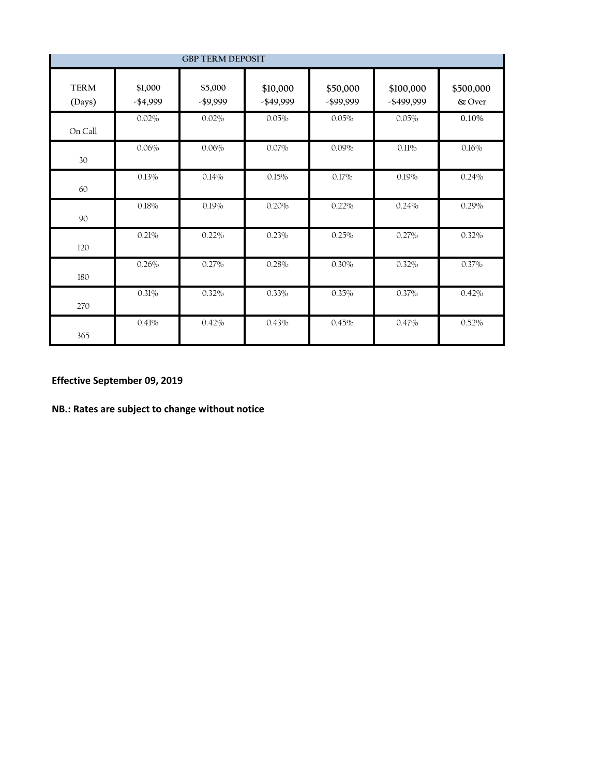| <b>GBP TERM DEPOSIT</b> |                        |                        |                          |                       |                         |                     |
|-------------------------|------------------------|------------------------|--------------------------|-----------------------|-------------------------|---------------------|
| <b>TERM</b><br>(Days)   | \$1,000<br>$-$ \$4,999 | \$5,000<br>$-$ \$9,999 | \$10,000<br>$-$ \$49,999 | \$50,000<br>-\$99,999 | \$100,000<br>-\$499,999 | \$500,000<br>& Over |
| On Call                 | 0.02%                  | 0.02%                  | 0.05%                    | 0.05%                 | 0.05%                   | 0.10%               |
| 30                      | 0.06%                  | 0.06%                  | $0.07\%$                 | $0.09\%$              | 0.11%                   | 0.16%               |
| 60                      | 0.13%                  | 0.14%                  | 0.15%                    | 0.17%                 | 0.19%                   | 0.24%               |
| 90                      | 0.18%                  | 0.19%                  | 0.20%                    | 0.22%                 | 0.24%                   | 0.29%               |
| 120                     | 0.21%                  | 0.22%                  | 0.23%                    | 0.25%                 | 0.27%                   | 0.32%               |
| 180                     | 0.26%                  | 0.27%                  | 0.28%                    | 0.30%                 | 0.32%                   | 0.37%               |
| 270                     | 0.31%                  | 0.32%                  | 0.33%                    | 0.35%                 | 0.37%                   | 0.42%               |
| 365                     | 0.41%                  | 0.42%                  | 0.43%                    | 0.45%                 | 0.47%                   | 0.52%               |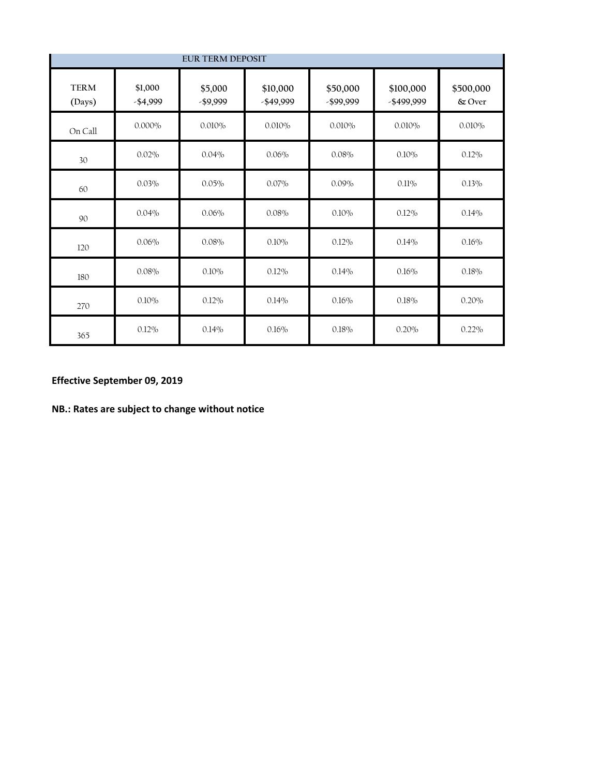| <b>EUR TERM DEPOSIT</b> |                      |                        |                          |                       |                         |                     |
|-------------------------|----------------------|------------------------|--------------------------|-----------------------|-------------------------|---------------------|
| <b>TERM</b><br>(Days)   | \$1,000<br>$-$4,999$ | \$5,000<br>$-$ \$9,999 | \$10,000<br>$-$ \$49,999 | \$50,000<br>-\$99,999 | \$100,000<br>-\$499,999 | \$500,000<br>& Over |
| On Call                 | $0.000\%$            | 0.010%                 | 0.010%                   | 0.010%                | 0.010%                  | 0.010%              |
| 30                      | 0.02%                | 0.04%                  | 0.06%                    | 0.08%                 | 0.10%                   | 0.12%               |
| 60                      | 0.03%                | 0.05%                  | 0.07%                    | 0.09%                 | 0.11%                   | 0.13%               |
| 90                      | 0.04%                | 0.06%                  | 0.08%                    | 0.10%                 | $0.12\%$                | 0.14%               |
| 120                     | 0.06%                | 0.08%                  | 0.10%                    | 0.12%                 | 0.14%                   | 0.16%               |
| 180                     | 0.08%                | 0.10%                  | $0.12\%$                 | 0.14%                 | 0.16%                   | 0.18%               |
| 270                     | 0.10%                | $0.12\%$               | 0.14%                    | 0.16%                 | 0.18%                   | 0.20%               |
| 365                     | 0.12%                | 0.14%                  | 0.16%                    | 0.18%                 | 0.20%                   | 0.22%               |